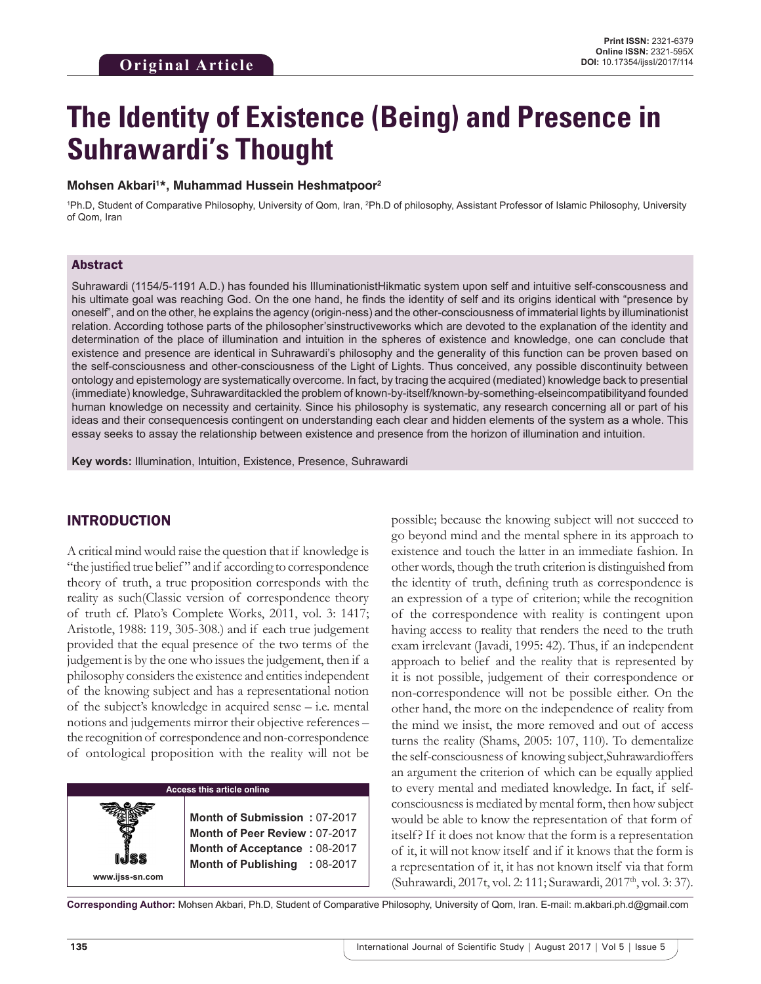# **The Identity of Existence (Being) and Presence in Suhrawardi's Thought**

#### **Mohsen Akbari1 \*, Muhammad Hussein Heshmatpoor2**

<sup>1</sup>Ph.D, Student of Comparative Philosophy, University of Qom, Iran, <sup>2</sup>Ph.D of philosophy, Assistant Professor of Islamic Philosophy, University of Qom, Iran

#### Abstract

Suhrawardi (1154/5-1191 A.D.) has founded his IlluminationistHikmatic system upon self and intuitive self-conscousness and his ultimate goal was reaching God. On the one hand, he finds the identity of self and its origins identical with "presence by oneself", and on the other, he explains the agency (origin-ness) and the other-consciousness of immaterial lights by illuminationist relation. According tothose parts of the philosopher'sinstructiveworks which are devoted to the explanation of the identity and determination of the place of illumination and intuition in the spheres of existence and knowledge, one can conclude that existence and presence are identical in Suhrawardi's philosophy and the generality of this function can be proven based on the self-consciousness and other-consciousness of the Light of Lights. Thus conceived, any possible discontinuity between ontology and epistemology are systematically overcome. In fact, by tracing the acquired (mediated) knowledge back to presential (immediate) knowledge, Suhrawarditackled the problem of known-by-itself/known-by-something-elseincompatibilityand founded human knowledge on necessity and certainity. Since his philosophy is systematic, any research concerning all or part of his ideas and their consequencesis contingent on understanding each clear and hidden elements of the system as a whole. This essay seeks to assay the relationship between existence and presence from the horizon of illumination and intuition.

**Key words:** Illumination, Intuition, Existence, Presence, Suhrawardi

#### INTRODUCTION

A critical mind would raise the question that if knowledge is "the justified true belief " and if according to correspondence theory of truth, a true proposition corresponds with the reality as such(Classic version of correspondence theory of truth cf. Plato's Complete Works, 2011, vol. 3: 1417; Aristotle, 1988: 119, 305-308.) and if each true judgement provided that the equal presence of the two terms of the judgement is by the one who issues the judgement, then if a philosophy considers the existence and entities independent of the knowing subject and has a representational notion of the subject's knowledge in acquired sense – i.e. mental notions and judgements mirror their objective references – the recognition of correspondence and non-correspondence of ontological proposition with the reality will not be

#### **Access this article online**

**Month of Submission :** 07-2017 **Month of Peer Review :** 07-2017 **Month of Acceptance :** 08-2017 **Month of Publishing :** 08-2017 possible; because the knowing subject will not succeed to go beyond mind and the mental sphere in its approach to existence and touch the latter in an immediate fashion. In other words, though the truth criterion is distinguished from the identity of truth, defining truth as correspondence is an expression of a type of criterion; while the recognition of the correspondence with reality is contingent upon having access to reality that renders the need to the truth exam irrelevant (Javadi, 1995: 42). Thus, if an independent approach to belief and the reality that is represented by it is not possible, judgement of their correspondence or non-correspondence will not be possible either. On the other hand, the more on the independence of reality from the mind we insist, the more removed and out of access turns the reality (Shams, 2005: 107, 110). To dementalize the self-consciousness of knowing subject,Suhrawardioffers an argument the criterion of which can be equally applied to every mental and mediated knowledge. In fact, if selfconsciousness is mediated by mental form, then how subject would be able to know the representation of that form of itself? If it does not know that the form is a representation of it, it will not know itself and if it knows that the form is a representation of it, it has not known itself via that form (Suhrawardi, 2017t, vol. 2: 111; Surawardi, 2017th, vol. 3: 37).

**Corresponding Author:** Mohsen Akbari, Ph.D, Student of Comparative Philosophy, University of Qom, Iran. E-mail: m.akbari.ph.d@gmail.com

**www.ijss-sn.com**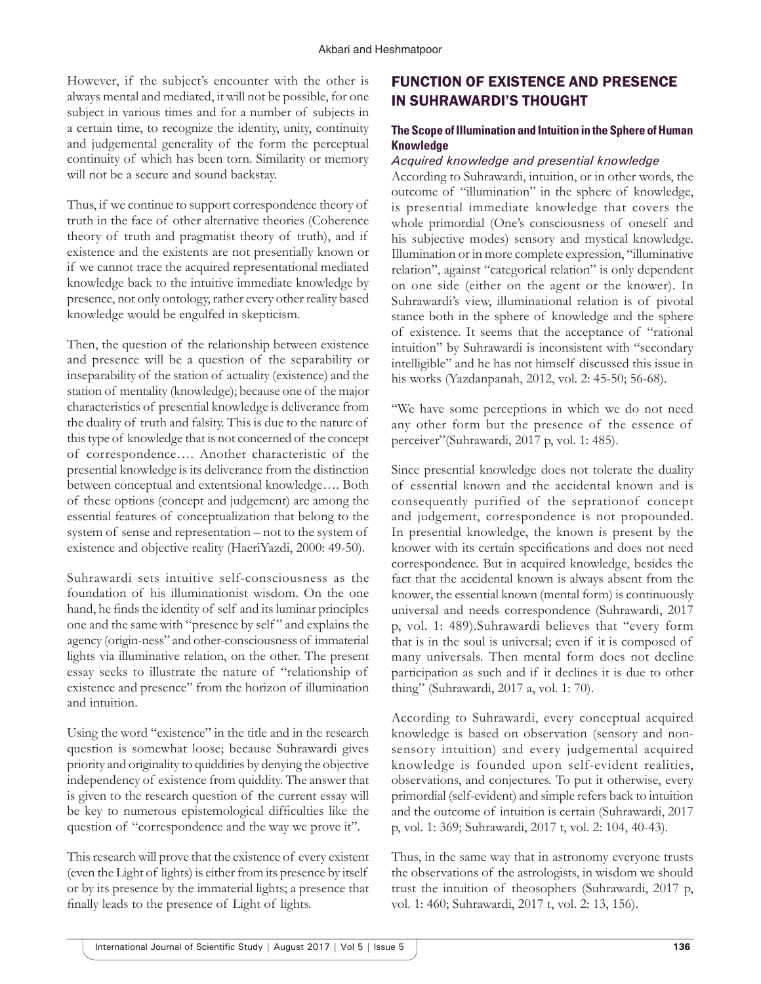However, if the subject's encounter with the other is always mental and mediated, it will not be possible, for one subject in various times and for a number of subjects in a certain time, to recognize the identity, unity, continuity and judgemental generality of the form the perceptual continuity of which has been torn. Similarity or memory will not be a secure and sound backstay.

Thus, if we continue to support correspondence theory of truth in the face of other alternative theories (Coherence theory of truth and pragmatist theory of truth), and if existence and the existents are not presentially known or if we cannot trace the acquired representational mediated knowledge back to the intuitive immediate knowledge by presence, not only ontology, rather every other reality based knowledge would be engulfed in skepticism.

Then, the question of the relationship between existence and presence will be a question of the separability or inseparability of the station of actuality (existence) and the station of mentality (knowledge); because one of the major characteristics of presential knowledge is deliverance from the duality of truth and falsity. This is due to the nature of this type of knowledge that is not concerned of the concept of correspondence…. Another characteristic of the presential knowledge is its deliverance from the distinction between conceptual and extentsional knowledge…. Both of these options (concept and judgement) are among the essential features of conceptualization that belong to the system of sense and representation – not to the system of existence and objective reality (HaeriYazdi, 2000: 49-50).

Suhrawardi sets intuitive self-consciousness as the foundation of his illuminationist wisdom. On the one hand, he finds the identity of self and its luminar principles one and the same with "presence by self " and explains the agency (origin-ness" and other-consciousness of immaterial lights via illuminative relation, on the other. The present essay seeks to illustrate the nature of "relationship of existence and presence" from the horizon of illumination and intuition.

Using the word "existence" in the title and in the research question is somewhat loose; because Suhrawardi gives priority and originality to quiddities by denying the objective independency of existence from quiddity. The answer that is given to the research question of the current essay will be key to numerous epistemological difficulties like the question of "correspondence and the way we prove it".

This research will prove that the existence of every existent (even the Light of lights) is either from its presence by itself or by its presence by the immaterial lights; a presence that finally leads to the presence of Light of lights.

# FUNCTION OF EXISTENCE AND PRESENCE IN SUHRAWARDI'S THOUGHT

#### **The Scope of Illumination and Intuition in the Sphere of Human Knowledge**

#### *Acquired knowledge and presential knowledge*

According to Suhrawardi, intuition, or in other words, the outcome of "illumination" in the sphere of knowledge, is presential immediate knowledge that covers the whole primordial (One's consciousness of oneself and his subjective modes) sensory and mystical knowledge. Illumination or in more complete expression, "illuminative relation", against "categorical relation" is only dependent on one side (either on the agent or the knower). In Suhrawardi's view, illuminational relation is of pivotal stance both in the sphere of knowledge and the sphere of existence. It seems that the acceptance of "rational intuition" by Suhrawardi is inconsistent with "secondary intelligible" and he has not himself discussed this issue in his works (Yazdanpanah, 2012, vol. 2: 45-50; 56-68).

"We have some perceptions in which we do not need any other form but the presence of the essence of perceiver"(Suhrawardi, 2017 p, vol. 1: 485).

Since presential knowledge does not tolerate the duality of essential known and the accidental known and is consequently purified of the seprationof concept and judgement, correspondence is not propounded. In presential knowledge, the known is present by the knower with its certain specifications and does not need correspondence. But in acquired knowledge, besides the fact that the accidental known is always absent from the knower, the essential known (mental form) is continuously universal and needs correspondence (Suhrawardi, 2017 p, vol. 1: 489).Suhrawardi believes that "every form that is in the soul is universal; even if it is composed of many universals. Then mental form does not decline participation as such and if it declines it is due to other thing" (Suhrawardi, 2017 a, vol. 1: 70).

According to Suhrawardi, every conceptual acquired knowledge is based on observation (sensory and nonsensory intuition) and every judgemental acquired knowledge is founded upon self-evident realities, observations, and conjectures. To put it otherwise, every primordial (self-evident) and simple refers back to intuition and the outcome of intuition is certain (Suhrawardi, 2017 p, vol. 1: 369; Suhrawardi, 2017 t, vol. 2: 104, 40-43).

Thus, in the same way that in astronomy everyone trusts the observations of the astrologists, in wisdom we should trust the intuition of theosophers (Suhrawardi, 2017 p, vol. 1: 460; Suhrawardi, 2017 t, vol. 2: 13, 156).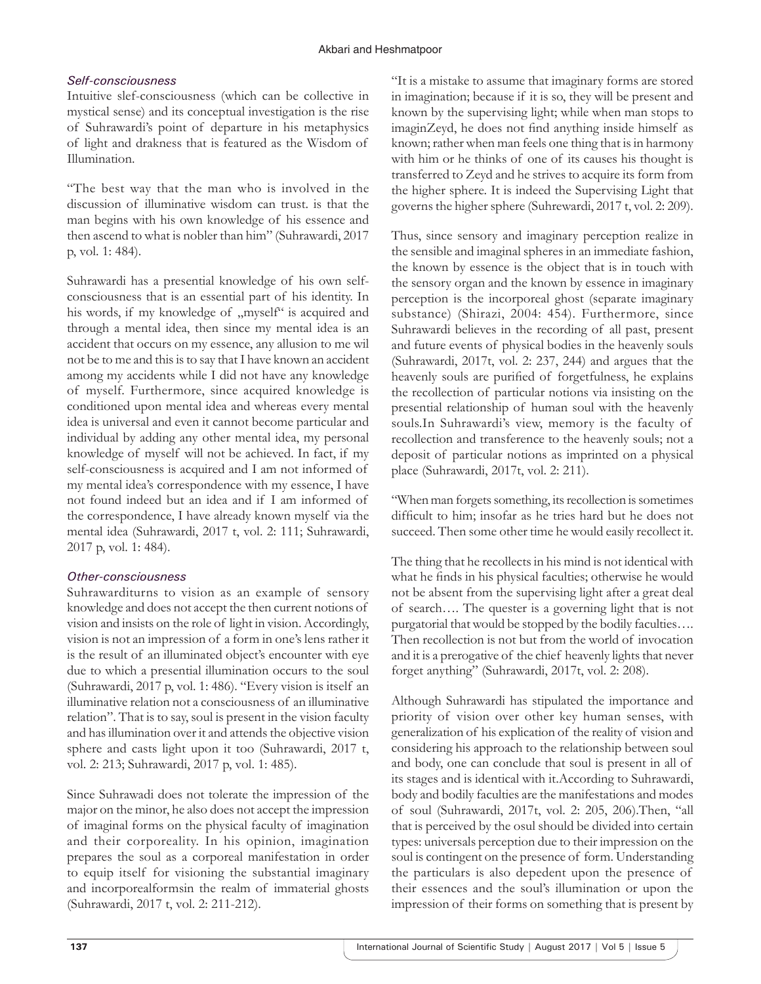### *Self-consciousness*

Intuitive slef-consciousness (which can be collective in mystical sense) and its conceptual investigation is the rise of Suhrawardi's point of departure in his metaphysics of light and drakness that is featured as the Wisdom of Illumination.

"The best way that the man who is involved in the discussion of illuminative wisdom can trust. is that the man begins with his own knowledge of his essence and then ascend to what is nobler than him" (Suhrawardi, 2017 p, vol. 1: 484).

Suhrawardi has a presential knowledge of his own selfconsciousness that is an essential part of his identity. In his words, if my knowledge of  $,$  myself<sup>\*\*</sup> is acquired and through a mental idea, then since my mental idea is an accident that occurs on my essence, any allusion to me wil not be to me and this is to say that I have known an accident among my accidents while I did not have any knowledge of myself. Furthermore, since acquired knowledge is conditioned upon mental idea and whereas every mental idea is universal and even it cannot become particular and individual by adding any other mental idea, my personal knowledge of myself will not be achieved. In fact, if my self-consciousness is acquired and I am not informed of my mental idea's correspondence with my essence, I have not found indeed but an idea and if I am informed of the correspondence, I have already known myself via the mental idea (Suhrawardi, 2017 t, vol. 2: 111; Suhrawardi, 2017 p, vol. 1: 484).

# *Other-consciousness*

Suhrawarditurns to vision as an example of sensory knowledge and does not accept the then current notions of vision and insists on the role of light in vision. Accordingly, vision is not an impression of a form in one's lens rather it is the result of an illuminated object's encounter with eye due to which a presential illumination occurs to the soul (Suhrawardi, 2017 p, vol. 1: 486). "Every vision is itself an illuminative relation not a consciousness of an illuminative relation". That is to say, soul is present in the vision faculty and has illumination over it and attends the objective vision sphere and casts light upon it too (Suhrawardi, 2017 t, vol. 2: 213; Suhrawardi, 2017 p, vol. 1: 485).

Since Suhrawadi does not tolerate the impression of the major on the minor, he also does not accept the impression of imaginal forms on the physical faculty of imagination and their corporeality. In his opinion, imagination prepares the soul as a corporeal manifestation in order to equip itself for visioning the substantial imaginary and incorporealformsin the realm of immaterial ghosts (Suhrawardi, 2017 t, vol. 2: 211-212).

"It is a mistake to assume that imaginary forms are stored in imagination; because if it is so, they will be present and known by the supervising light; while when man stops to imaginZeyd, he does not find anything inside himself as known; rather when man feels one thing that is in harmony with him or he thinks of one of its causes his thought is transferred to Zeyd and he strives to acquire its form from the higher sphere. It is indeed the Supervising Light that governs the higher sphere (Suhrewardi, 2017 t, vol. 2: 209).

Thus, since sensory and imaginary perception realize in the sensible and imaginal spheres in an immediate fashion, the known by essence is the object that is in touch with the sensory organ and the known by essence in imaginary perception is the incorporeal ghost (separate imaginary substance) (Shirazi, 2004: 454). Furthermore, since Suhrawardi believes in the recording of all past, present and future events of physical bodies in the heavenly souls (Suhrawardi, 2017t, vol. 2: 237, 244) and argues that the heavenly souls are purified of forgetfulness, he explains the recollection of particular notions via insisting on the presential relationship of human soul with the heavenly souls.In Suhrawardi's view, memory is the faculty of recollection and transference to the heavenly souls; not a deposit of particular notions as imprinted on a physical place (Suhrawardi, 2017t, vol. 2: 211).

"When man forgets something, its recollection is sometimes difficult to him; insofar as he tries hard but he does not succeed. Then some other time he would easily recollect it.

The thing that he recollects in his mind is not identical with what he finds in his physical faculties; otherwise he would not be absent from the supervising light after a great deal of search…. The quester is a governing light that is not purgatorial that would be stopped by the bodily faculties…. Then recollection is not but from the world of invocation and it is a prerogative of the chief heavenly lights that never forget anything" (Suhrawardi, 2017t, vol. 2: 208).

Although Suhrawardi has stipulated the importance and priority of vision over other key human senses, with generalization of his explication of the reality of vision and considering his approach to the relationship between soul and body, one can conclude that soul is present in all of its stages and is identical with it.According to Suhrawardi, body and bodily faculties are the manifestations and modes of soul (Suhrawardi, 2017t, vol. 2: 205, 206).Then, "all that is perceived by the osul should be divided into certain types: universals perception due to their impression on the soul is contingent on the presence of form. Understanding the particulars is also depedent upon the presence of their essences and the soul's illumination or upon the impression of their forms on something that is present by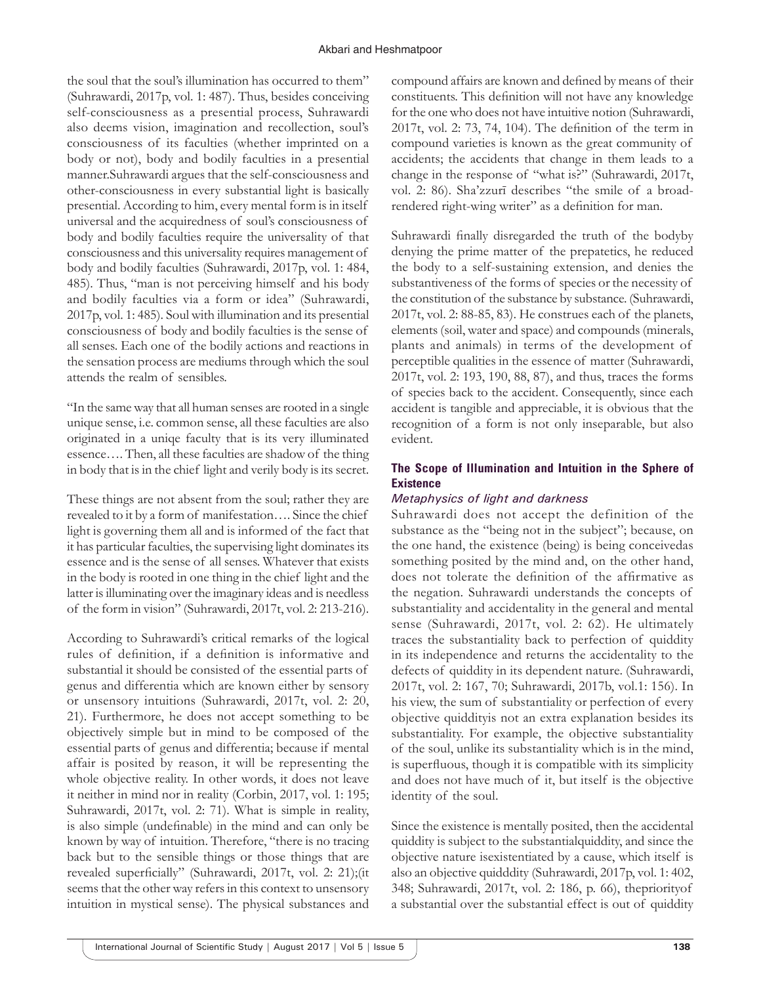the soul that the soul's illumination has occurred to them" (Suhrawardi, 2017p, vol. 1: 487). Thus, besides conceiving self-consciousness as a presential process, Suhrawardi also deems vision, imagination and recollection, soul's consciousness of its faculties (whether imprinted on a body or not), body and bodily faculties in a presential manner.Suhrawardi argues that the self-consciousness and other-consciousness in every substantial light is basically presential. According to him, every mental form is in itself universal and the acquiredness of soul's consciousness of body and bodily faculties require the universality of that consciousness and this universality requires management of body and bodily faculties (Suhrawardi, 2017p, vol. 1: 484, 485). Thus, "man is not perceiving himself and his body and bodily faculties via a form or idea" (Suhrawardi, 2017p, vol. 1: 485). Soul with illumination and its presential consciousness of body and bodily faculties is the sense of all senses. Each one of the bodily actions and reactions in the sensation process are mediums through which the soul attends the realm of sensibles.

"In the same way that all human senses are rooted in a single unique sense, i.e. common sense, all these faculties are also originated in a uniqe faculty that is its very illuminated essence…. Then, all these faculties are shadow of the thing in body that is in the chief light and verily body is its secret.

These things are not absent from the soul; rather they are revealed to it by a form of manifestation…. Since the chief light is governing them all and is informed of the fact that it has particular faculties, the supervising light dominates its essence and is the sense of all senses. Whatever that exists in the body is rooted in one thing in the chief light and the latter is illuminating over the imaginary ideas and is needless of the form in vision" (Suhrawardi, 2017t, vol. 2: 213-216).

According to Suhrawardi's critical remarks of the logical rules of definition, if a definition is informative and substantial it should be consisted of the essential parts of genus and differentia which are known either by sensory or unsensory intuitions (Suhrawardi, 2017t, vol. 2: 20, 21). Furthermore, he does not accept something to be objectively simple but in mind to be composed of the essential parts of genus and differentia; because if mental affair is posited by reason, it will be representing the whole objective reality. In other words, it does not leave it neither in mind nor in reality (Corbin, 2017, vol. 1: 195; Suhrawardi, 2017t, vol. 2: 71). What is simple in reality, is also simple (undefinable) in the mind and can only be known by way of intuition. Therefore, "there is no tracing back but to the sensible things or those things that are revealed superficially" (Suhrawardi, 2017t, vol. 2: 21);(it seems that the other way refers in this context to unsensory intuition in mystical sense). The physical substances and

compound affairs are known and defined by means of their constituents. This definition will not have any knowledge for the one who does not have intuitive notion (Suhrawardi, 2017t, vol. 2: 73, 74, 104). The definition of the term in compound varieties is known as the great community of accidents; the accidents that change in them leads to a change in the response of "what is?" (Suhrawardi, 2017t, vol. 2: 86). Sha'zzurī describes "the smile of a broadrendered right-wing writer" as a definition for man.

Suhrawardi finally disregarded the truth of the bodyby denying the prime matter of the prepatetics, he reduced the body to a self-sustaining extension, and denies the substantiveness of the forms of species or the necessity of the constitution of the substance by substance. (Suhrawardi, 2017t, vol. 2: 88-85, 83). He construes each of the planets, elements (soil, water and space) and compounds (minerals, plants and animals) in terms of the development of perceptible qualities in the essence of matter (Suhrawardi, 2017t, vol. 2: 193, 190, 88, 87), and thus, traces the forms of species back to the accident. Consequently, since each accident is tangible and appreciable, it is obvious that the recognition of a form is not only inseparable, but also evident.

#### **The Scope of Illumination and Intuition in the Sphere of Existence**

#### *Metaphysics of light and darkness*

Suhrawardi does not accept the definition of the substance as the "being not in the subject"; because, on the one hand, the existence (being) is being conceivedas something posited by the mind and, on the other hand, does not tolerate the definition of the affirmative as the negation. Suhrawardi understands the concepts of substantiality and accidentality in the general and mental sense (Suhrawardi, 2017t, vol. 2: 62). He ultimately traces the substantiality back to perfection of quiddity in its independence and returns the accidentality to the defects of quiddity in its dependent nature. (Suhrawardi, 2017t, vol. 2: 167, 70; Suhrawardi, 2017b, vol.1: 156). In his view, the sum of substantiality or perfection of every objective quiddityis not an extra explanation besides its substantiality. For example, the objective substantiality of the soul, unlike its substantiality which is in the mind, is superfluous, though it is compatible with its simplicity and does not have much of it, but itself is the objective identity of the soul.

Since the existence is mentally posited, then the accidental quiddity is subject to the substantialquiddity, and since the objective nature isexistentiated by a cause, which itself is also an objective quidddity (Suhrawardi, 2017p, vol. 1: 402, 348; Suhrawardi, 2017t, vol. 2: 186, p. 66), thepriorityof a substantial over the substantial effect is out of quiddity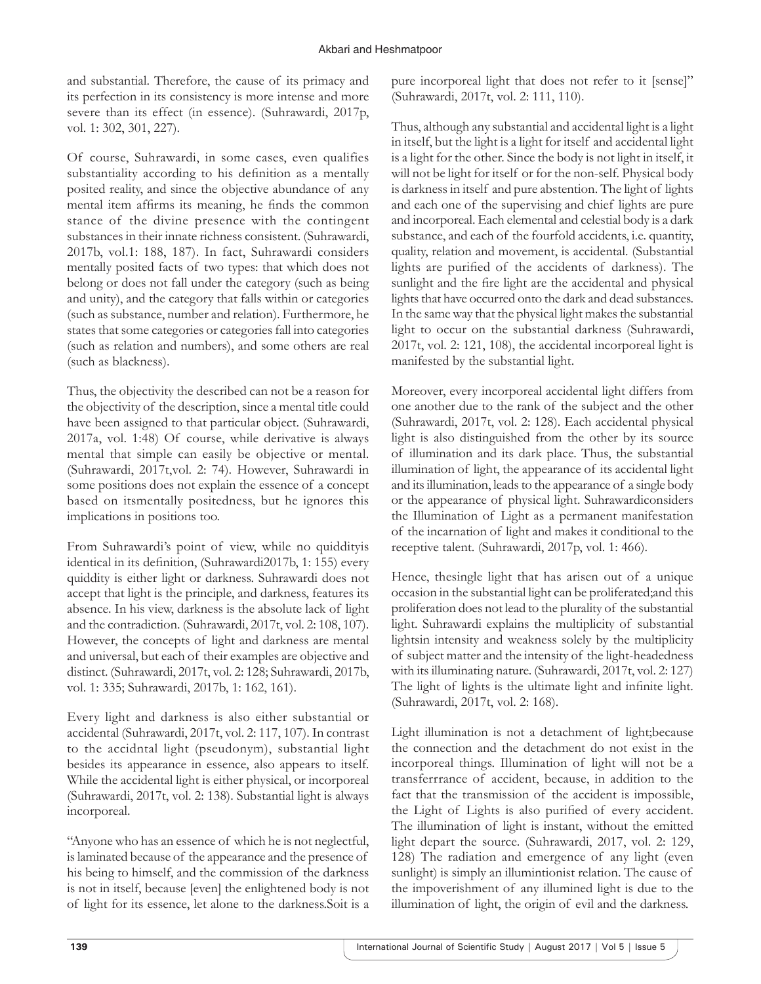and substantial. Therefore, the cause of its primacy and its perfection in its consistency is more intense and more severe than its effect (in essence). (Suhrawardi, 2017p, vol. 1: 302, 301, 227).

Of course, Suhrawardi, in some cases, even qualifies substantiality according to his definition as a mentally posited reality, and since the objective abundance of any mental item affirms its meaning, he finds the common stance of the divine presence with the contingent substances in their innate richness consistent. (Suhrawardi, 2017b, vol.1: 188, 187). In fact, Suhrawardi considers mentally posited facts of two types: that which does not belong or does not fall under the category (such as being and unity), and the category that falls within or categories (such as substance, number and relation). Furthermore, he states that some categories or categories fall into categories (such as relation and numbers), and some others are real (such as blackness).

Thus, the objectivity the described can not be a reason for the objectivity of the description, since a mental title could have been assigned to that particular object. (Suhrawardi, 2017a, vol. 1:48) Of course, while derivative is always mental that simple can easily be objective or mental. (Suhrawardi, 2017t,vol. 2: 74). However, Suhrawardi in some positions does not explain the essence of a concept based on itsmentally positedness, but he ignores this implications in positions too.

From Suhrawardi's point of view, while no quiddityis identical in its definition, (Suhrawardi2017b, 1: 155) every quiddity is either light or darkness. Suhrawardi does not accept that light is the principle, and darkness, features its absence. In his view, darkness is the absolute lack of light and the contradiction. (Suhrawardi, 2017t, vol. 2: 108, 107). However, the concepts of light and darkness are mental and universal, but each of their examples are objective and distinct. (Suhrawardi, 2017t, vol. 2: 128; Suhrawardi, 2017b, vol. 1: 335; Suhrawardi, 2017b, 1: 162, 161).

Every light and darkness is also either substantial or accidental (Suhrawardi, 2017t, vol. 2: 117, 107). In contrast to the accidntal light (pseudonym), substantial light besides its appearance in essence, also appears to itself. While the accidental light is either physical, or incorporeal (Suhrawardi, 2017t, vol. 2: 138). Substantial light is always incorporeal.

"Anyone who has an essence of which he is not neglectful, is laminated because of the appearance and the presence of his being to himself, and the commission of the darkness is not in itself, because [even] the enlightened body is not of light for its essence, let alone to the darkness.Soit is a pure incorporeal light that does not refer to it [sense]" (Suhrawardi, 2017t, vol. 2: 111, 110).

Thus, although any substantial and accidental light is a light in itself, but the light is a light for itself and accidental light is a light for the other. Since the body is not light in itself, it will not be light for itself or for the non-self. Physical body is darkness in itself and pure abstention. The light of lights and each one of the supervising and chief lights are pure and incorporeal. Each elemental and celestial body is a dark substance, and each of the fourfold accidents, i.e. quantity, quality, relation and movement, is accidental. (Substantial lights are purified of the accidents of darkness). The sunlight and the fire light are the accidental and physical lights that have occurred onto the dark and dead substances. In the same way that the physical light makes the substantial light to occur on the substantial darkness (Suhrawardi, 2017t, vol. 2: 121, 108), the accidental incorporeal light is manifested by the substantial light.

Moreover, every incorporeal accidental light differs from one another due to the rank of the subject and the other (Suhrawardi, 2017t, vol. 2: 128). Each accidental physical light is also distinguished from the other by its source of illumination and its dark place. Thus, the substantial illumination of light, the appearance of its accidental light and its illumination, leads to the appearance of a single body or the appearance of physical light. Suhrawardiconsiders the Illumination of Light as a permanent manifestation of the incarnation of light and makes it conditional to the receptive talent. (Suhrawardi, 2017p, vol. 1: 466).

Hence, thesingle light that has arisen out of a unique occasion in the substantial light can be proliferated;and this proliferation does not lead to the plurality of the substantial light. Suhrawardi explains the multiplicity of substantial lightsin intensity and weakness solely by the multiplicity of subject matter and the intensity of the light-headedness with its illuminating nature. (Suhrawardi, 2017t, vol. 2: 127) The light of lights is the ultimate light and infinite light. (Suhrawardi, 2017t, vol. 2: 168).

Light illumination is not a detachment of light;because the connection and the detachment do not exist in the incorporeal things. Illumination of light will not be a transferrrance of accident, because, in addition to the fact that the transmission of the accident is impossible, the Light of Lights is also purified of every accident. The illumination of light is instant, without the emitted light depart the source. (Suhrawardi, 2017, vol. 2: 129, 128) The radiation and emergence of any light (even sunlight) is simply an illumintionist relation. The cause of the impoverishment of any illumined light is due to the illumination of light, the origin of evil and the darkness.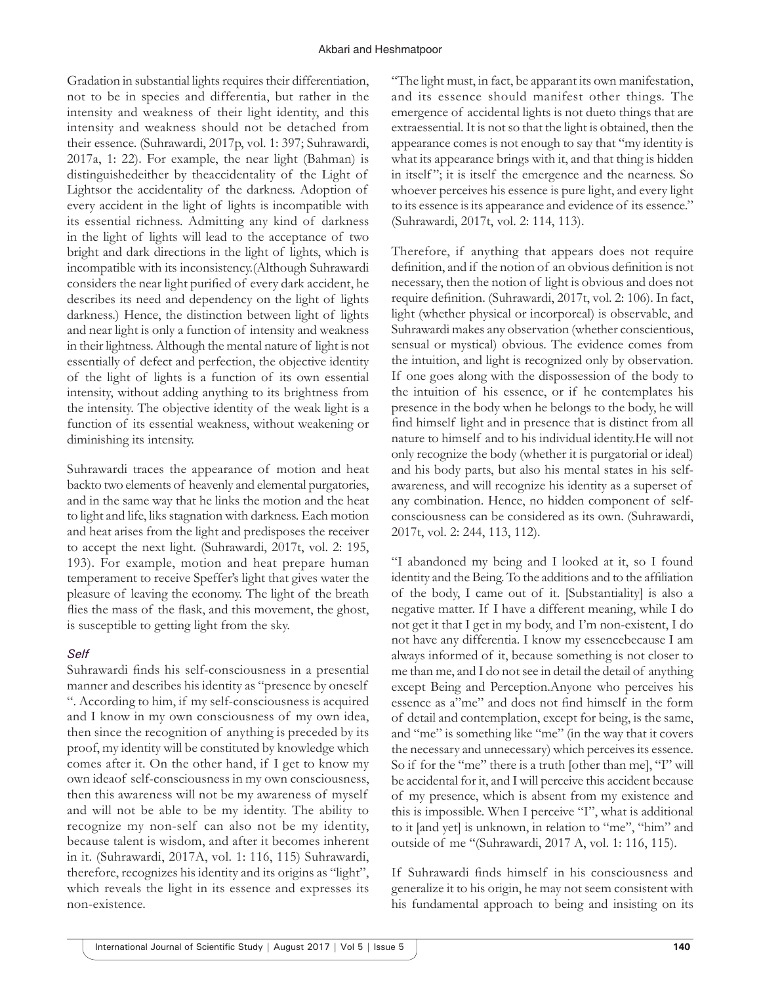Gradation in substantial lights requires their differentiation, not to be in species and differentia, but rather in the intensity and weakness of their light identity, and this intensity and weakness should not be detached from their essence. (Suhrawardi, 2017p, vol. 1: 397; Suhrawardi, 2017a, 1: 22). For example, the near light (Bahman) is distinguishedeither by theaccidentality of the Light of Lightsor the accidentality of the darkness. Adoption of every accident in the light of lights is incompatible with its essential richness. Admitting any kind of darkness in the light of lights will lead to the acceptance of two bright and dark directions in the light of lights, which is incompatible with its inconsistency.(Although Suhrawardi considers the near light purified of every dark accident, he describes its need and dependency on the light of lights darkness.) Hence, the distinction between light of lights and near light is only a function of intensity and weakness in their lightness. Although the mental nature of light is not essentially of defect and perfection, the objective identity of the light of lights is a function of its own essential intensity, without adding anything to its brightness from the intensity. The objective identity of the weak light is a function of its essential weakness, without weakening or diminishing its intensity.

Suhrawardi traces the appearance of motion and heat backto two elements of heavenly and elemental purgatories, and in the same way that he links the motion and the heat to light and life, liks stagnation with darkness. Each motion and heat arises from the light and predisposes the receiver to accept the next light. (Suhrawardi, 2017t, vol. 2: 195, 193). For example, motion and heat prepare human temperament to receive Speffer's light that gives water the pleasure of leaving the economy. The light of the breath flies the mass of the flask, and this movement, the ghost, is susceptible to getting light from the sky.

#### *Self*

Suhrawardi finds his self-consciousness in a presential manner and describes his identity as "presence by oneself ". According to him, if my self-consciousness is acquired and I know in my own consciousness of my own idea, then since the recognition of anything is preceded by its proof, my identity will be constituted by knowledge which comes after it. On the other hand, if I get to know my own ideaof self-consciousness in my own consciousness, then this awareness will not be my awareness of myself and will not be able to be my identity. The ability to recognize my non-self can also not be my identity, because talent is wisdom, and after it becomes inherent in it. (Suhrawardi, 2017A, vol. 1: 116, 115) Suhrawardi, therefore, recognizes his identity and its origins as "light", which reveals the light in its essence and expresses its non-existence.

"The light must, in fact, be apparant its own manifestation, and its essence should manifest other things. The emergence of accidental lights is not dueto things that are extraessential. It is not so that the light is obtained, then the appearance comes is not enough to say that "my identity is what its appearance brings with it, and that thing is hidden in itself "; it is itself the emergence and the nearness. So whoever perceives his essence is pure light, and every light to its essence is its appearance and evidence of its essence." (Suhrawardi, 2017t, vol. 2: 114, 113).

Therefore, if anything that appears does not require definition, and if the notion of an obvious definition is not necessary, then the notion of light is obvious and does not require definition. (Suhrawardi, 2017t, vol. 2: 106). In fact, light (whether physical or incorporeal) is observable, and Suhrawardi makes any observation (whether conscientious, sensual or mystical) obvious. The evidence comes from the intuition, and light is recognized only by observation. If one goes along with the dispossession of the body to the intuition of his essence, or if he contemplates his presence in the body when he belongs to the body, he will find himself light and in presence that is distinct from all nature to himself and to his individual identity.He will not only recognize the body (whether it is purgatorial or ideal) and his body parts, but also his mental states in his selfawareness, and will recognize his identity as a superset of any combination. Hence, no hidden component of selfconsciousness can be considered as its own. (Suhrawardi, 2017t, vol. 2: 244, 113, 112).

"I abandoned my being and I looked at it, so I found identity and the Being. To the additions and to the affiliation of the body, I came out of it. [Substantiality] is also a negative matter. If I have a different meaning, while I do not get it that I get in my body, and I'm non-existent, I do not have any differentia. I know my essencebecause I am always informed of it, because something is not closer to me than me, and I do not see in detail the detail of anything except Being and Perception.Anyone who perceives his essence as a"me" and does not find himself in the form of detail and contemplation, except for being, is the same, and "me" is something like "me" (in the way that it covers the necessary and unnecessary) which perceives its essence. So if for the "me" there is a truth [other than me], "I" will be accidental for it, and I will perceive this accident because of my presence, which is absent from my existence and this is impossible. When I perceive "I", what is additional to it [and yet] is unknown, in relation to "me", "him" and outside of me "(Suhrawardi, 2017 A, vol. 1: 116, 115).

If Suhrawardi finds himself in his consciousness and generalize it to his origin, he may not seem consistent with his fundamental approach to being and insisting on its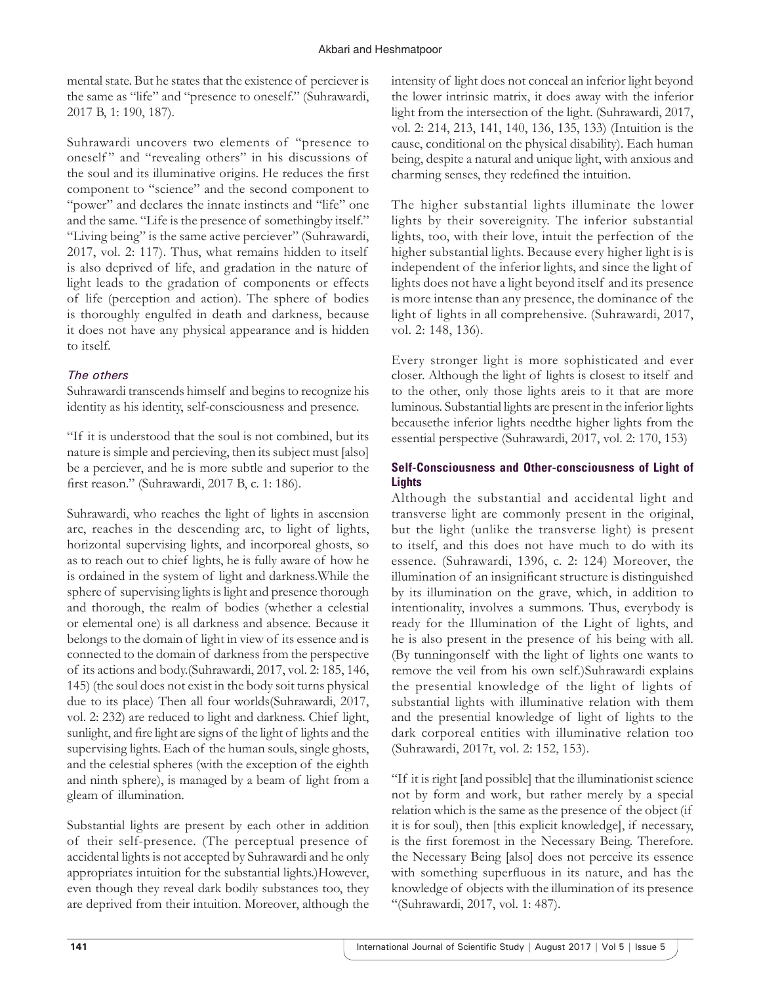mental state. But he states that the existence of perciever is the same as "life" and "presence to oneself." (Suhrawardi, 2017 B, 1: 190, 187).

Suhrawardi uncovers two elements of "presence to oneself" and "revealing others" in his discussions of the soul and its illuminative origins. He reduces the first component to "science" and the second component to "power" and declares the innate instincts and "life" one and the same. "Life is the presence of somethingby itself." "Living being" is the same active perciever" (Suhrawardi, 2017, vol. 2: 117). Thus, what remains hidden to itself is also deprived of life, and gradation in the nature of light leads to the gradation of components or effects of life (perception and action). The sphere of bodies is thoroughly engulfed in death and darkness, because it does not have any physical appearance and is hidden to itself.

# *The others*

Suhrawardi transcends himself and begins to recognize his identity as his identity, self-consciousness and presence.

"If it is understood that the soul is not combined, but its nature is simple and percieving, then its subject must [also] be a perciever, and he is more subtle and superior to the first reason." (Suhrawardi, 2017 B, c. 1: 186).

Suhrawardi, who reaches the light of lights in ascension arc, reaches in the descending arc, to light of lights, horizontal supervising lights, and incorporeal ghosts, so as to reach out to chief lights, he is fully aware of how he is ordained in the system of light and darkness.While the sphere of supervising lights is light and presence thorough and thorough, the realm of bodies (whether a celestial or elemental one) is all darkness and absence. Because it belongs to the domain of light in view of its essence and is connected to the domain of darkness from the perspective of its actions and body.(Suhrawardi, 2017, vol. 2: 185, 146, 145) (the soul does not exist in the body soit turns physical due to its place) Then all four worlds(Suhrawardi, 2017, vol. 2: 232) are reduced to light and darkness. Chief light, sunlight, and fire light are signs of the light of lights and the supervising lights. Each of the human souls, single ghosts, and the celestial spheres (with the exception of the eighth and ninth sphere), is managed by a beam of light from a gleam of illumination.

Substantial lights are present by each other in addition of their self-presence. (The perceptual presence of accidental lights is not accepted by Suhrawardi and he only appropriates intuition for the substantial lights.)However, even though they reveal dark bodily substances too, they are deprived from their intuition. Moreover, although the

intensity of light does not conceal an inferior light beyond the lower intrinsic matrix, it does away with the inferior light from the intersection of the light. (Suhrawardi, 2017, vol. 2: 214, 213, 141, 140, 136, 135, 133) (Intuition is the cause, conditional on the physical disability). Each human being, despite a natural and unique light, with anxious and charming senses, they redefined the intuition.

The higher substantial lights illuminate the lower lights by their sovereignity. The inferior substantial lights, too, with their love, intuit the perfection of the higher substantial lights. Because every higher light is is independent of the inferior lights, and since the light of lights does not have a light beyond itself and its presence is more intense than any presence, the dominance of the light of lights in all comprehensive. (Suhrawardi, 2017, vol. 2: 148, 136).

Every stronger light is more sophisticated and ever closer. Although the light of lights is closest to itself and to the other, only those lights areis to it that are more luminous. Substantial lights are present in the inferior lights becausethe inferior lights needthe higher lights from the essential perspective (Suhrawardi, 2017, vol. 2: 170, 153)

### **Self-Consciousness and Other-consciousness of Light of Lights**

Although the substantial and accidental light and transverse light are commonly present in the original, but the light (unlike the transverse light) is present to itself, and this does not have much to do with its essence. (Suhrawardi, 1396, c. 2: 124) Moreover, the illumination of an insignificant structure is distinguished by its illumination on the grave, which, in addition to intentionality, involves a summons. Thus, everybody is ready for the Illumination of the Light of lights, and he is also present in the presence of his being with all. (By tunningonself with the light of lights one wants to remove the veil from his own self.)Suhrawardi explains the presential knowledge of the light of lights of substantial lights with illuminative relation with them and the presential knowledge of light of lights to the dark corporeal entities with illuminative relation too (Suhrawardi, 2017t, vol. 2: 152, 153).

"If it is right [and possible] that the illuminationist science not by form and work, but rather merely by a special relation which is the same as the presence of the object (if it is for soul), then [this explicit knowledge], if necessary, is the first foremost in the Necessary Being. Therefore. the Necessary Being [also] does not perceive its essence with something superfluous in its nature, and has the knowledge of objects with the illumination of its presence "(Suhrawardi, 2017, vol. 1: 487).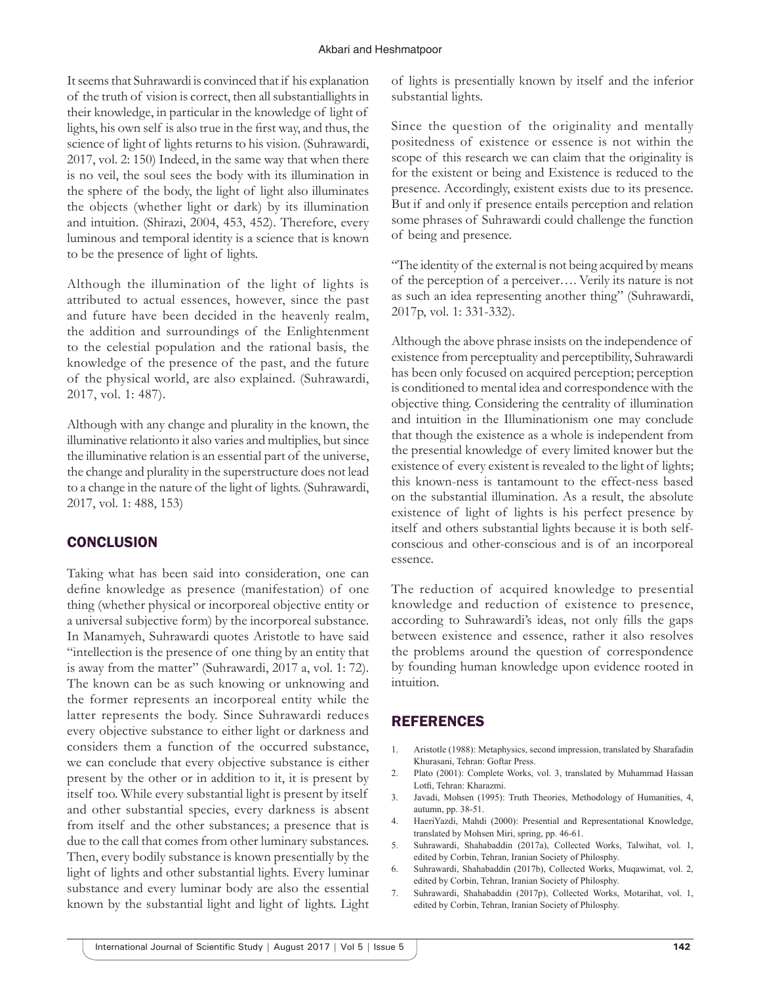#### Akbari and Heshmatpoor

It seems that Suhrawardi is convinced that if his explanation of the truth of vision is correct, then all substantiallights in their knowledge, in particular in the knowledge of light of lights, his own self is also true in the first way, and thus, the science of light of lights returns to his vision. (Suhrawardi, 2017, vol. 2: 150) Indeed, in the same way that when there is no veil, the soul sees the body with its illumination in the sphere of the body, the light of light also illuminates the objects (whether light or dark) by its illumination and intuition. (Shirazi, 2004, 453, 452). Therefore, every luminous and temporal identity is a science that is known to be the presence of light of lights.

Although the illumination of the light of lights is attributed to actual essences, however, since the past and future have been decided in the heavenly realm, the addition and surroundings of the Enlightenment to the celestial population and the rational basis, the knowledge of the presence of the past, and the future of the physical world, are also explained. (Suhrawardi, 2017, vol. 1: 487).

Although with any change and plurality in the known, the illuminative relationto it also varies and multiplies, but since the illuminative relation is an essential part of the universe, the change and plurality in the superstructure does not lead to a change in the nature of the light of lights. (Suhrawardi, 2017, vol. 1: 488, 153)

# **CONCLUSION**

Taking what has been said into consideration, one can define knowledge as presence (manifestation) of one thing (whether physical or incorporeal objective entity or a universal subjective form) by the incorporeal substance. In Manamyeh, Suhrawardi quotes Aristotle to have said "intellection is the presence of one thing by an entity that is away from the matter" (Suhrawardi, 2017 a, vol. 1: 72). The known can be as such knowing or unknowing and the former represents an incorporeal entity while the latter represents the body. Since Suhrawardi reduces every objective substance to either light or darkness and considers them a function of the occurred substance, we can conclude that every objective substance is either present by the other or in addition to it, it is present by itself too. While every substantial light is present by itself and other substantial species, every darkness is absent from itself and the other substances; a presence that is due to the call that comes from other luminary substances. Then, every bodily substance is known presentially by the light of lights and other substantial lights. Every luminar substance and every luminar body are also the essential known by the substantial light and light of lights. Light

of lights is presentially known by itself and the inferior substantial lights.

Since the question of the originality and mentally positedness of existence or essence is not within the scope of this research we can claim that the originality is for the existent or being and Existence is reduced to the presence. Accordingly, existent exists due to its presence. But if and only if presence entails perception and relation some phrases of Suhrawardi could challenge the function of being and presence.

"The identity of the external is not being acquired by means of the perception of a perceiver…. Verily its nature is not as such an idea representing another thing" (Suhrawardi, 2017p, vol. 1: 331-332).

Although the above phrase insists on the independence of existence from perceptuality and perceptibility, Suhrawardi has been only focused on acquired perception; perception is conditioned to mental idea and correspondence with the objective thing. Considering the centrality of illumination and intuition in the Illuminationism one may conclude that though the existence as a whole is independent from the presential knowledge of every limited knower but the existence of every existent is revealed to the light of lights; this known-ness is tantamount to the effect-ness based on the substantial illumination. As a result, the absolute existence of light of lights is his perfect presence by itself and others substantial lights because it is both selfconscious and other-conscious and is of an incorporeal essence.

The reduction of acquired knowledge to presential knowledge and reduction of existence to presence, according to Suhrawardi's ideas, not only fills the gaps between existence and essence, rather it also resolves the problems around the question of correspondence by founding human knowledge upon evidence rooted in intuition.

# REFERENCES

- 1. Aristotle (1988): Metaphysics, second impression, translated by Sharafadin Khurasani, Tehran: Goftar Press.
- 2. Plato (2001): Complete Works, vol. 3, translated by Muhammad Hassan Lotfi, Tehran: Kharazmi.
- 3. Javadi, Mohsen (1995): Truth Theories, Methodology of Humanities, 4, autumn, pp. 38-51.
- 4. HaeriYazdi, Mahdi (2000): Presential and Representational Knowledge, translated by Mohsen Miri, spring, pp. 46-61.
- 5. Suhrawardi, Shahabaddin (2017a), Collected Works, Talwihat, vol. 1, edited by Corbin, Tehran, Iranian Society of Philosphy.
- 6. Suhrawardi, Shahabaddin (2017b), Collected Works, Muqawimat, vol. 2, edited by Corbin, Tehran, Iranian Society of Philosphy.
- 7. Suhrawardi, Shahabaddin (2017p), Collected Works, Motarihat, vol. 1, edited by Corbin, Tehran, Iranian Society of Philosphy.